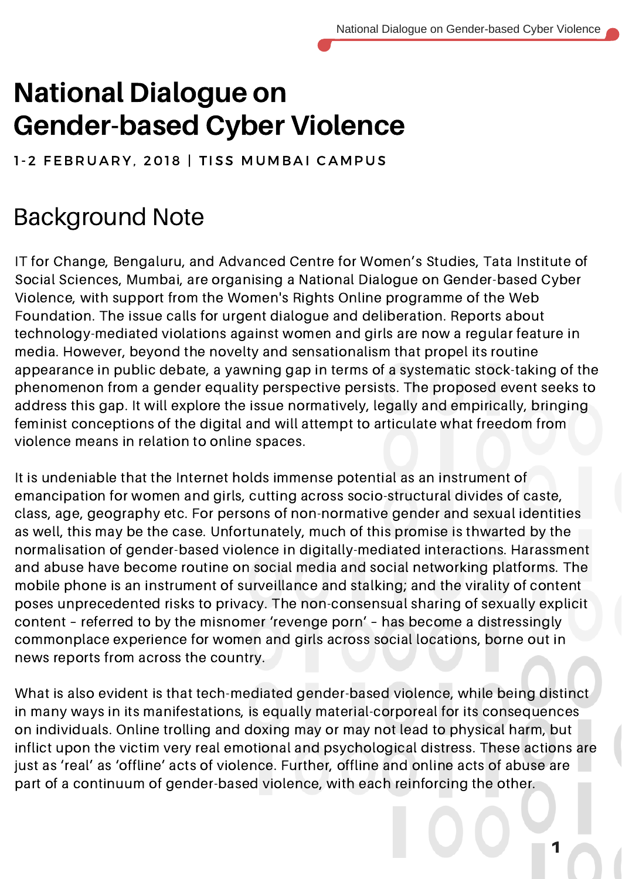# National Dialogue on Gender-based Cyber Violence

1-2 FEBRUARY, 2018 | TISS MUMBAI CAMPUS

## Background Note

IT for Change, Bengaluru, and Advanced Centre for Women's Studies, Tata Institute of Social Sciences, Mumbai, are organising a National Dialogue on Gender-based Cyber Violence, with support from the Women's Rights Online programme of the Web Foundation. The issue calls for urgent dialogue and deliberation. Reports about technology-mediated violations against women and girls are now a regular feature in media. However, beyond the novelty and sensationalism that propel its routine appearance in public debate, a yawning gap in terms of a systematic stock-taking of the phenomenon from a gender equality perspective persists. The proposed event seeks to address this gap. It will explore the issue normatively, legally and empirically, bringing feminist conceptions of the digital and will attempt to articulate what freedom from violence means in relation to online spaces.

It is undeniable that the Internet holds immense potential as an instrument of emancipation for women and girls, cutting across socio-structural divides of caste, class, age, geography etc. For persons of non-normative gender and sexual identities as well, this may be the case. Unfortunately, much of this promise is thwarted by the normalisation of gender-based violence in digitally-mediated interactions. Harassment and abuse have become routine on social media and social networking platforms. The mobile phone is an instrument of surveillance and stalking; and the virality of content poses unprecedented risks to privacy. The non-consensual sharing of sexually explicit content – referred to by the misnomer 'revenge porn' – has become a distressingly commonplace experience for women and girls across social locations, borne out in news reports from across the country.

What is also evident is that tech-mediated gender-based violence, while being distinct in many ways in its manifestations, is equally material-corporeal for its consequences on individuals. Online trolling and doxing may or may not lead to physical harm, but inflict upon the victim very real emotional and psychological distress. These actions are just as 'real' as 'offline' acts of violence. Further, offline and online acts of abuse are part of a continuum of gender-based violence, with each reinforcing the other.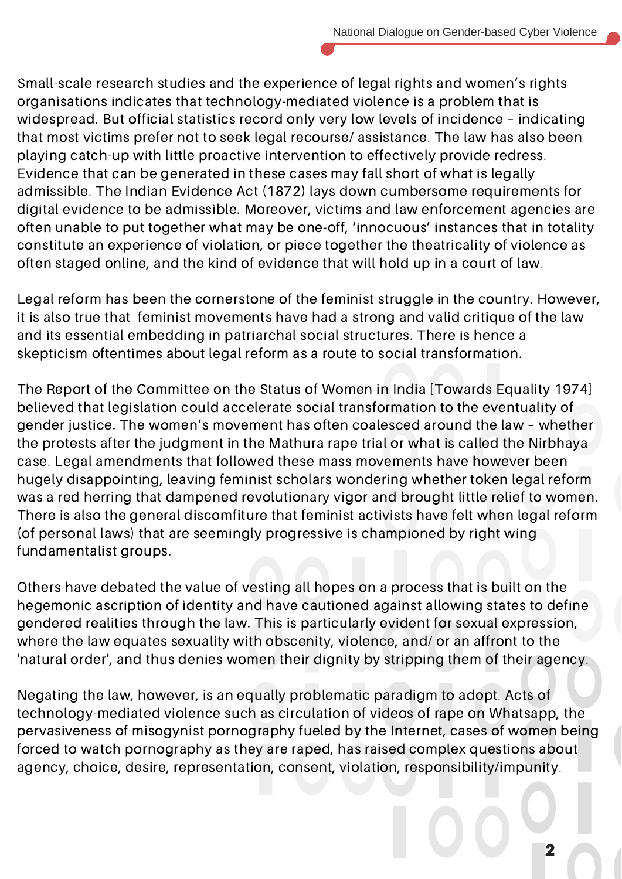Small-scale research studies and the experience of legal rights and women's rights organisations indicates that technology-mediated violence is a problem that is widespread. But official statistics record only very low levels of incidence – indicating that most victims prefer not to seek legal recourse/ assistance. The law has also been playing catch-up with little proactive intervention to effectively provide redress. Evidence that can be generated in these cases may fall short of what is legally admissible. The Indian Evidence Act (1872) lays down cumbersome requirements for digital evidence to be admissible. Moreover, victims and law enforcement agencies are often unable to put together what may be one-off, 'innocuous' instances that in totality constitute an experience of violation, or piece together the theatricality of violence as often staged online, and the kind of evidence that will hold up in a court of law.

Legal reform has been the cornerstone of the feminist struggle in the country. However, it is also true that feminist movements have had a strong and valid critique of the law and its essential embedding in patriarchal social structures. There is hence a skepticism oftentimes about legal reform as a route to social transformation.

The Report of the Committee on the Status of Women in India [Towards Equality 1974] believed that legislation could accelerate social transformation to the eventuality of gender justice. The women's movement has often coalesced around the law – whether the protests after the judgment in the Mathura rape trial or what is called the Nirbhaya case. Legal amendments that followed these mass movements have however been hugely disappointing, leaving feminist scholars wondering whether token legal reform was a red herring that dampened revolutionary vigor and brought little relief to women. There is also the general discomfiture that feminist activists have felt when legal reform (of personal laws) that are seemingly progressive is championed by right wing fundamentalist groups.

Others have debated the value of vesting all hopes on a process that is built on the hegemonic ascription of identity and have cautioned against allowing states to define gendered realities through the law. This is particularly evident for sexual expression, where the law equates sexuality with obscenity, violence, and/ or an affront to the 'natural order', and thus denies women their dignity by stripping them of their agency.

Negating the law, however, is an equally problematic paradigm to adopt. Acts of technology-mediated violence such as circulation of videos of rape on Whatsapp, the pervasiveness of misogynist pornography fueled by the Internet, cases of women being forced to watch pornography as they are raped, has raised complex questions about agency, choice, desire, representation, consent, violation, responsibility/impunity.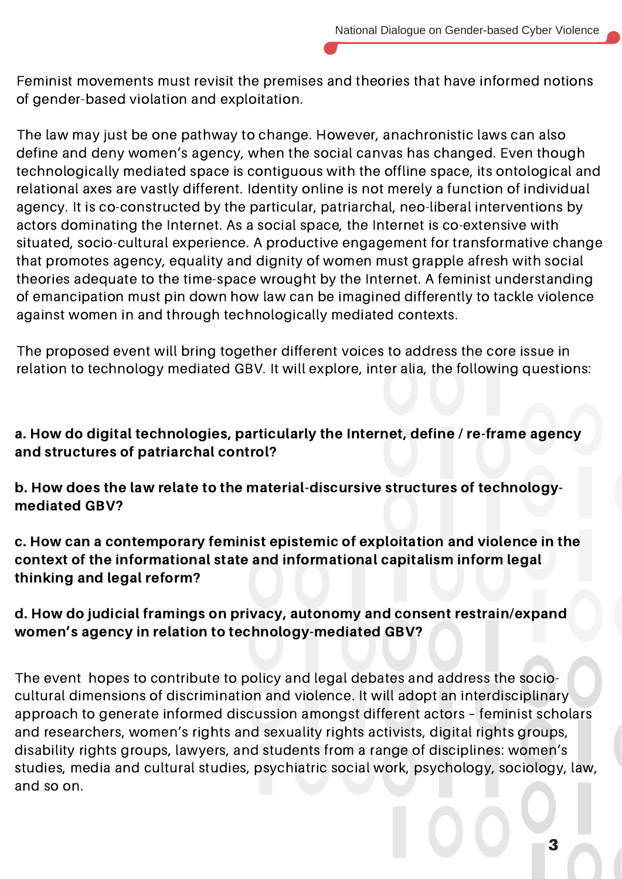Feminist movements must revisit the premises and theories that have informed notions of gender-based violation and exploitation.

The law may just be one pathway to change. However, anachronistic laws can also define and deny women's agency, when the social canvas has changed. Even though technologically mediated space is contiguous with the offline space, its ontological and relational axes are vastly different. Identity online is not merely a function of individual agency. It is co-constructed by the particular, patriarchal, neo-liberal interventions by actors dominating the Internet. As a social space, the Internet is co-extensive with situated, socio-cultural experience. A productive engagement for transformative change that promotes agency, equality and dignity of women must grapple afresh with social theories adequate to the time-space wrought by the Internet. A feminist understanding of emancipation must pin down how law can be imagined differently to tackle violence against women in and through technologically mediated contexts.

The proposed event will bring together different voices to address the core issue in relation to technology mediated GBV. It will explore, inter alia, the following questions:

#### a. How do digital technologies, particularly the Internet, define / re-frame agency and structures of patriarchal control?

b. How does the law relate to the material-discursive structures of technologymediated GBV?

c. How can a contemporary feminist epistemic of exploitation and violence in the context of the informational state and informational capitalism inform legal thinking and legal reform?

#### d. How do judicial framings on privacy, autonomy and consent restrain/expand women's agency in relation to technology-mediated GBV?

The event hopes to contribute to policy and legal debates and address the sociocultural dimensions of discrimination and violence. It will adopt an interdisciplinary approach to generate informed discussion amongst different actors – feminist scholars and researchers, women's rights and sexuality rights activists, digital rights groups, disability rights groups, lawyers, and students from a range of disciplines: women's studies, media and cultural studies, psychiatric social work, psychology, sociology, law, and so on.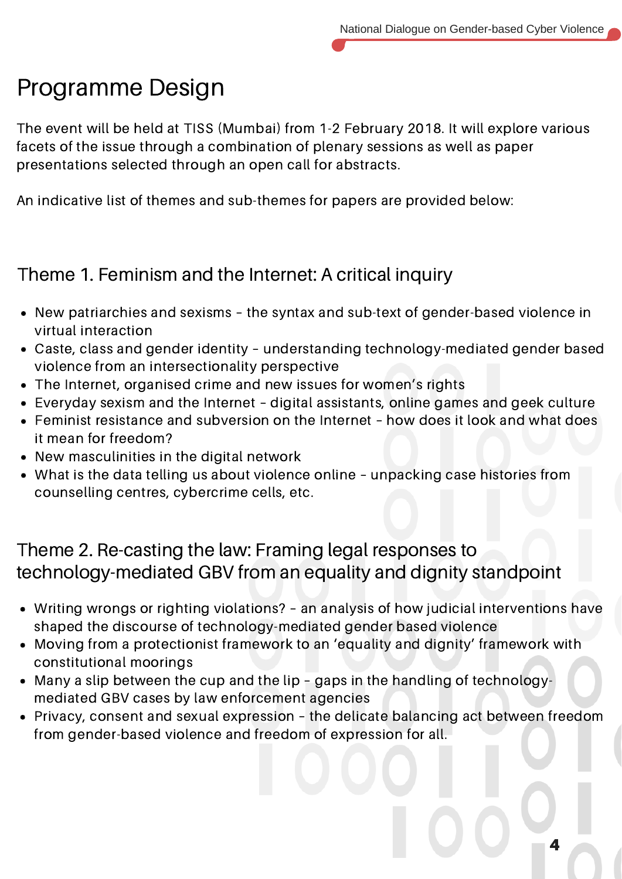## Programme Design

The event will be held at TISS (Mumbai) from 1-2 February 2018. It will explore various facets of the issue through a combination of plenary sessions as well as paper presentations selected through an open call for abstracts.

An indicative list of themes and sub-themes for papers are provided below:

### Theme 1. Feminism and the Internet: A critical inquiry

- New patriarchies and sexisms the syntax and sub-text of gender-based violence in virtual interaction
- Caste, class and gender identity understanding technology-mediated gender based violence from an intersectionality perspective
- The Internet, organised crime and new issues for women's rights
- Everyday sexism and the Internet digital assistants, online games and geek culture
- Feminist resistance and subversion on the Internet how does it look and what does it mean for freedom?
- New masculinities in the digital network
- What is the data telling us about violence online unpacking case histories from counselling centres, cybercrime cells, etc.

### Theme 2. Re-casting the law: Framing legal responses to technology-mediated GBV from an equality and dignity standpoint

- Writing wrongs or righting violations? an analysis of how judicial interventions have shaped the discourse of technology-mediated gender based violence
- Moving from a protectionist framework to an 'equality and dignity' framework with constitutional moorings
- Many a slip between the cup and the lip gaps in the handling of technologymediated GBV cases by law enforcement agencies
- Privacy, consent and sexual expression the delicate balancing act between freedom from gender-based violence and freedom of expression for all.